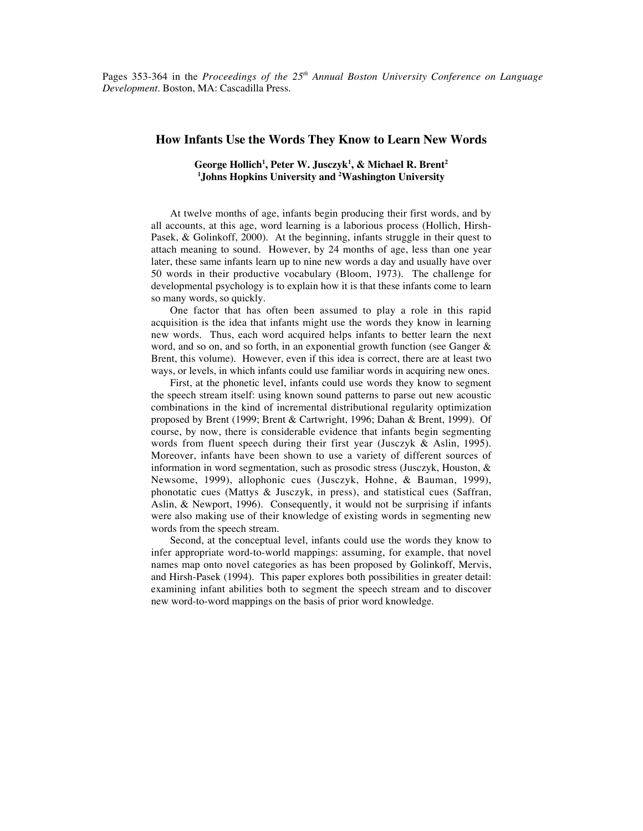Pages 353-364 in the *Proceedings of the 25th Annual Boston University Conference on Language Development*. Boston, MA: Cascadilla Press.

# **How Infants Use the Words They Know to Learn New Words**

# $\mathbf{G}$ eorge Hollich<sup>1</sup>, Peter W. Jusczyk<sup>1</sup>, & Michael R. Brent<sup>2</sup> **1 Johns Hopkins University and 2 Washington University**

At twelve months of age, infants begin producing their first words, and by all accounts, at this age, word learning is a laborious process (Hollich, Hirsh-Pasek, & Golinkoff, 2000). At the beginning, infants struggle in their quest to attach meaning to sound. However, by 24 months of age, less than one year later, these same infants learn up to nine new words a day and usually have over 50 words in their productive vocabulary (Bloom, 1973). The challenge for developmental psychology is to explain how it is that these infants come to learn so many words, so quickly.

One factor that has often been assumed to play a role in this rapid acquisition is the idea that infants might use the words they know in learning new words. Thus, each word acquired helps infants to better learn the next word, and so on, and so forth, in an exponential growth function (see Ganger & Brent, this volume). However, even if this idea is correct, there are at least two ways, or levels, in which infants could use familiar words in acquiring new ones.

First, at the phonetic level, infants could use words they know to segment the speech stream itself: using known sound patterns to parse out new acoustic combinations in the kind of incremental distributional regularity optimization proposed by Brent (1999; Brent & Cartwright, 1996; Dahan & Brent, 1999). Of course, by now, there is considerable evidence that infants begin segmenting words from fluent speech during their first year (Jusczyk & Aslin, 1995). Moreover, infants have been shown to use a variety of different sources of information in word segmentation, such as prosodic stress (Jusczyk, Houston, & Newsome, 1999), allophonic cues (Jusczyk, Hohne, & Bauman, 1999), phonotatic cues (Mattys & Jusczyk, in press), and statistical cues (Saffran, Aslin, & Newport, 1996). Consequently, it would not be surprising if infants were also making use of their knowledge of existing words in segmenting new words from the speech stream.

Second, at the conceptual level, infants could use the words they know to infer appropriate word-to-world mappings: assuming, for example, that novel names map onto novel categories as has been proposed by Golinkoff, Mervis, and Hirsh-Pasek (1994). This paper explores both possibilities in greater detail: examining infant abilities both to segment the speech stream and to discover new word-to-word mappings on the basis of prior word knowledge.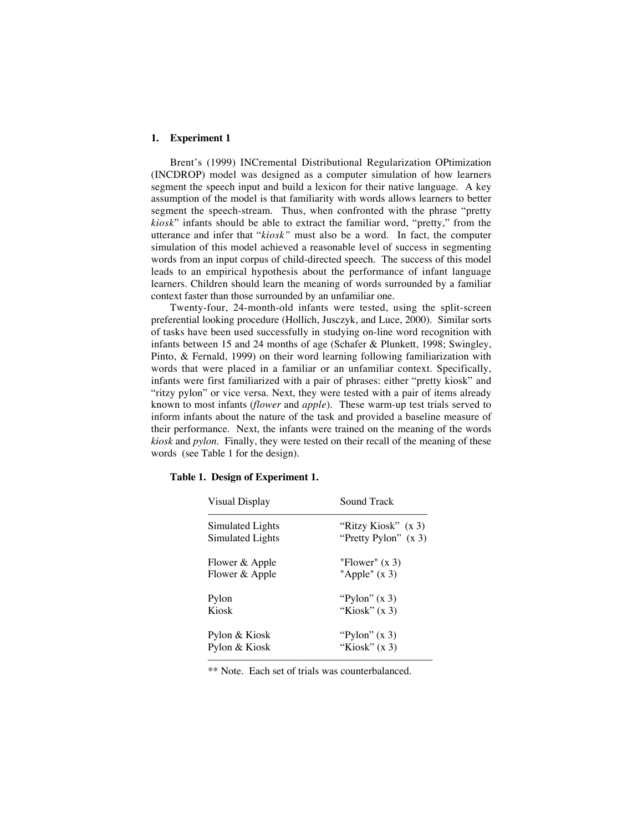## **1. Experiment 1**

Brent's (1999) INCremental Distributional Regularization OPtimization (INCDROP) model was designed as a computer simulation of how learners segment the speech input and build a lexicon for their native language. A key assumption of the model is that familiarity with words allows learners to better segment the speech-stream. Thus, when confronted with the phrase "pretty *kiosk*" infants should be able to extract the familiar word, "pretty," from the utterance and infer that "*kiosk"* must also be a word. In fact, the computer simulation of this model achieved a reasonable level of success in segmenting words from an input corpus of child-directed speech. The success of this model leads to an empirical hypothesis about the performance of infant language learners. Children should learn the meaning of words surrounded by a familiar context faster than those surrounded by an unfamiliar one.

Twenty-four, 24-month-old infants were tested, using the split-screen preferential looking procedure (Hollich, Jusczyk, and Luce, 2000). Similar sorts of tasks have been used successfully in studying on-line word recognition with infants between 15 and 24 months of age (Schafer & Plunkett, 1998; Swingley, Pinto, & Fernald, 1999) on their word learning following familiarization with words that were placed in a familiar or an unfamiliar context. Specifically, infants were first familiarized with a pair of phrases: either "pretty kiosk" and "ritzy pylon" or vice versa. Next, they were tested with a pair of items already known to most infants (*flower* and *apple*). These warm-up test trials served to inform infants about the nature of the task and provided a baseline measure of their performance. Next, the infants were trained on the meaning of the words *kiosk* and *pylon*. Finally, they were tested on their recall of the meaning of these words (see Table 1 for the design).

| Sound Track                                   |
|-----------------------------------------------|
| "Ritzy Kiosk" (x 3)<br>"Pretty Pylon" $(x 3)$ |
| "Flower" $(x 3)$<br>"Apple" $(x 3)$           |
| "Pylon" $(x 3)$                               |
| "Kiosk" $(x 3)$                               |
| "Pylon" $(x 3)$                               |
| "Kiosk" $(x 3)$                               |
|                                               |

## **Table 1. Design of Experiment 1.**

\*\* Note. Each set of trials was counterbalanced.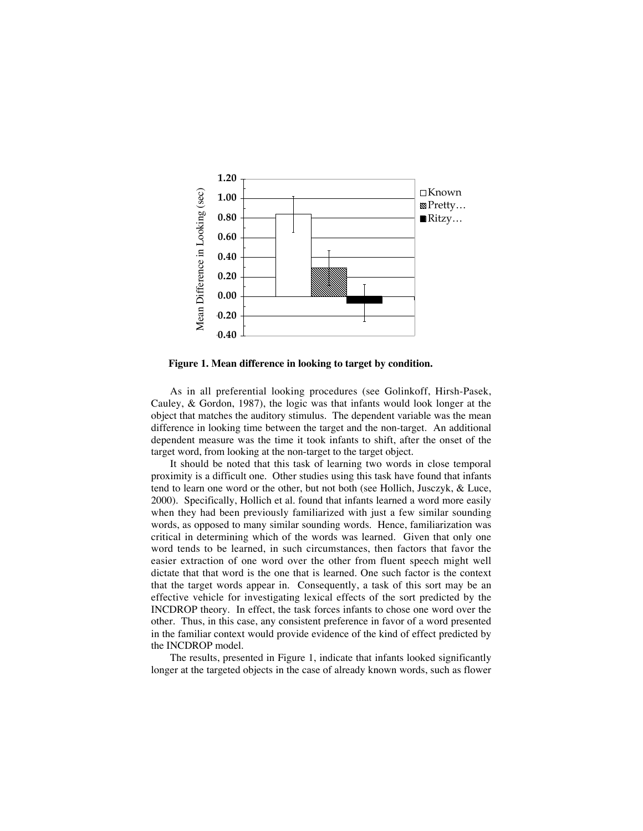

**Figure 1. Mean difference in looking to target by condition.**

As in all preferential looking procedures (see Golinkoff, Hirsh-Pasek, Cauley, & Gordon, 1987), the logic was that infants would look longer at the object that matches the auditory stimulus. The dependent variable was the mean difference in looking time between the target and the non-target. An additional dependent measure was the time it took infants to shift, after the onset of the target word, from looking at the non-target to the target object.

It should be noted that this task of learning two words in close temporal proximity is a difficult one. Other studies using this task have found that infants tend to learn one word or the other, but not both (see Hollich, Jusczyk, & Luce, 2000). Specifically, Hollich et al. found that infants learned a word more easily when they had been previously familiarized with just a few similar sounding words, as opposed to many similar sounding words. Hence, familiarization was critical in determining which of the words was learned. Given that only one word tends to be learned, in such circumstances, then factors that favor the easier extraction of one word over the other from fluent speech might well dictate that that word is the one that is learned. One such factor is the context that the target words appear in. Consequently, a task of this sort may be an effective vehicle for investigating lexical effects of the sort predicted by the INCDROP theory. In effect, the task forces infants to chose one word over the other. Thus, in this case, any consistent preference in favor of a word presented in the familiar context would provide evidence of the kind of effect predicted by the INCDROP model.

The results, presented in Figure 1, indicate that infants looked significantly longer at the targeted objects in the case of already known words, such as flower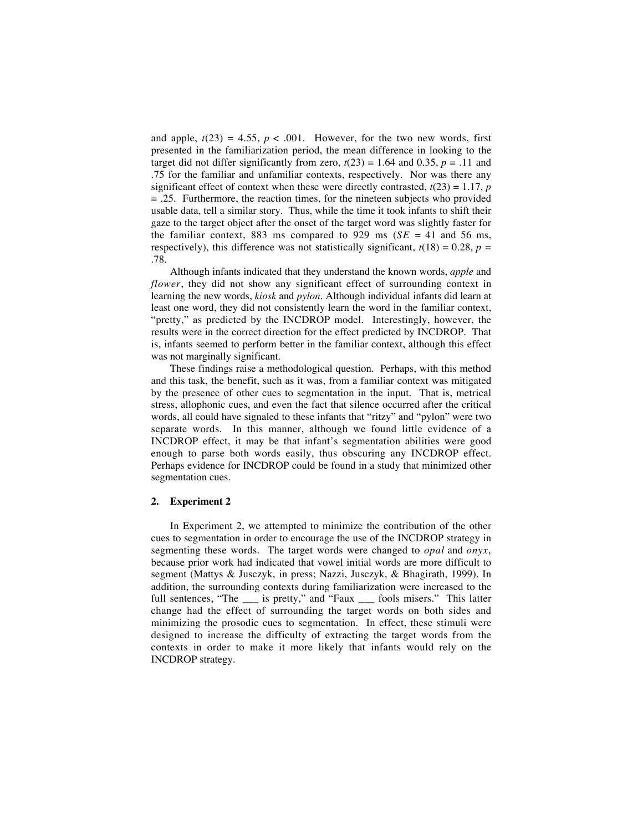and apple,  $t(23) = 4.55$ ,  $p < .001$ . However, for the two new words, first presented in the familiarization period, the mean difference in looking to the target did not differ significantly from zero,  $t(23) = 1.64$  and 0.35,  $p = .11$  and .75 for the familiar and unfamiliar contexts, respectively. Nor was there any significant effect of context when these were directly contrasted,  $t(23) = 1.17$ , *p* = .25. Furthermore, the reaction times, for the nineteen subjects who provided usable data, tell a similar story. Thus, while the time it took infants to shift their gaze to the target object after the onset of the target word was slightly faster for the familiar context, 883 ms compared to 929 ms  $(SE = 41$  and 56 ms, respectively), this difference was not statistically significant,  $t(18) = 0.28$ ,  $p =$ .78.

Although infants indicated that they understand the known words, *apple* and *flower*, they did not show any significant effect of surrounding context in learning the new words, *kiosk* and *pylon*. Although individual infants did learn at least one word, they did not consistently learn the word in the familiar context, "pretty," as predicted by the INCDROP model. Interestingly, however, the results were in the correct direction for the effect predicted by INCDROP. That is, infants seemed to perform better in the familiar context, although this effect was not marginally significant.

These findings raise a methodological question. Perhaps, with this method and this task, the benefit, such as it was, from a familiar context was mitigated by the presence of other cues to segmentation in the input. That is, metrical stress, allophonic cues, and even the fact that silence occurred after the critical words, all could have signaled to these infants that "ritzy" and "pylon" were two separate words. In this manner, although we found little evidence of a INCDROP effect, it may be that infant's segmentation abilities were good enough to parse both words easily, thus obscuring any INCDROP effect. Perhaps evidence for INCDROP could be found in a study that minimized other segmentation cues.

## **2. Experiment 2**

In Experiment 2, we attempted to minimize the contribution of the other cues to segmentation in order to encourage the use of the INCDROP strategy in segmenting these words. The target words were changed to *opal* and *onyx*, because prior work had indicated that vowel initial words are more difficult to segment (Mattys & Jusczyk, in press; Nazzi, Jusczyk, & Bhagirath, 1999). In addition, the surrounding contexts during familiarization were increased to the full sentences, "The \_\_\_ is pretty," and "Faux \_\_\_ fools misers." This latter change had the effect of surrounding the target words on both sides and minimizing the prosodic cues to segmentation. In effect, these stimuli were designed to increase the difficulty of extracting the target words from the contexts in order to make it more likely that infants would rely on the INCDROP strategy.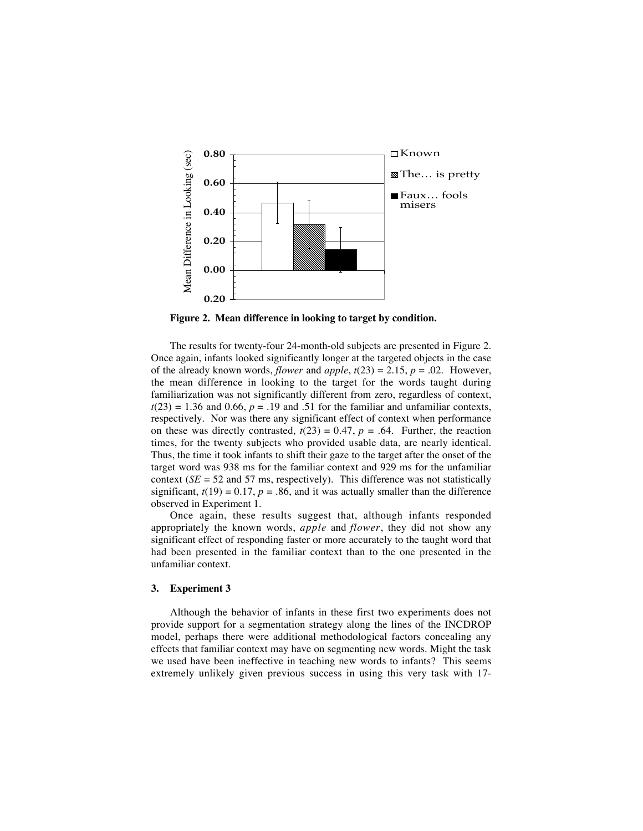

**Figure 2. Mean difference in looking to target by condition.**

The results for twenty-four 24-month-old subjects are presented in Figure 2. Once again, infants looked significantly longer at the targeted objects in the case of the already known words, *flower* and *apple*,  $t(23) = 2.15$ ,  $p = .02$ . However, the mean difference in looking to the target for the words taught during familiarization was not significantly different from zero, regardless of context,  $t(23) = 1.36$  and 0.66,  $p = .19$  and .51 for the familiar and unfamiliar contexts, respectively. Nor was there any significant effect of context when performance on these was directly contrasted,  $t(23) = 0.47$ ,  $p = .64$ . Further, the reaction times, for the twenty subjects who provided usable data, are nearly identical. Thus, the time it took infants to shift their gaze to the target after the onset of the target word was 938 ms for the familiar context and 929 ms for the unfamiliar context  $(SE = 52$  and 57 ms, respectively). This difference was not statistically significant,  $t(19) = 0.17$ ,  $p = .86$ , and it was actually smaller than the difference observed in Experiment 1.

Once again, these results suggest that, although infants responded appropriately the known words, *apple* and *flower*, they did not show any significant effect of responding faster or more accurately to the taught word that had been presented in the familiar context than to the one presented in the unfamiliar context.

#### **3. Experiment 3**

Although the behavior of infants in these first two experiments does not provide support for a segmentation strategy along the lines of the INCDROP model, perhaps there were additional methodological factors concealing any effects that familiar context may have on segmenting new words. Might the task we used have been ineffective in teaching new words to infants? This seems extremely unlikely given previous success in using this very task with 17-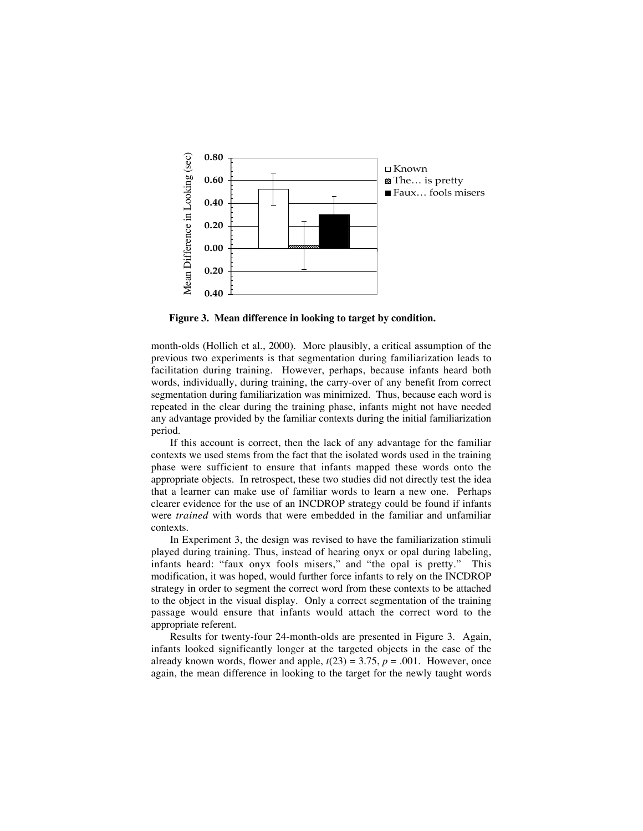

**Figure 3. Mean difference in looking to target by condition.**

month-olds (Hollich et al., 2000). More plausibly, a critical assumption of the previous two experiments is that segmentation during familiarization leads to facilitation during training. However, perhaps, because infants heard both words, individually, during training, the carry-over of any benefit from correct segmentation during familiarization was minimized. Thus, because each word is repeated in the clear during the training phase, infants might not have needed any advantage provided by the familiar contexts during the initial familiarization period.

If this account is correct, then the lack of any advantage for the familiar contexts we used stems from the fact that the isolated words used in the training phase were sufficient to ensure that infants mapped these words onto the appropriate objects. In retrospect, these two studies did not directly test the idea that a learner can make use of familiar words to learn a new one. Perhaps clearer evidence for the use of an INCDROP strategy could be found if infants were *trained* with words that were embedded in the familiar and unfamiliar contexts.

In Experiment 3, the design was revised to have the familiarization stimuli played during training. Thus, instead of hearing onyx or opal during labeling, infants heard: "faux onyx fools misers," and "the opal is pretty." This modification, it was hoped, would further force infants to rely on the INCDROP strategy in order to segment the correct word from these contexts to be attached to the object in the visual display. Only a correct segmentation of the training passage would ensure that infants would attach the correct word to the appropriate referent.

Results for twenty-four 24-month-olds are presented in Figure 3. Again, infants looked significantly longer at the targeted objects in the case of the already known words, flower and apple,  $t(23) = 3.75$ ,  $p = .001$ . However, once again, the mean difference in looking to the target for the newly taught words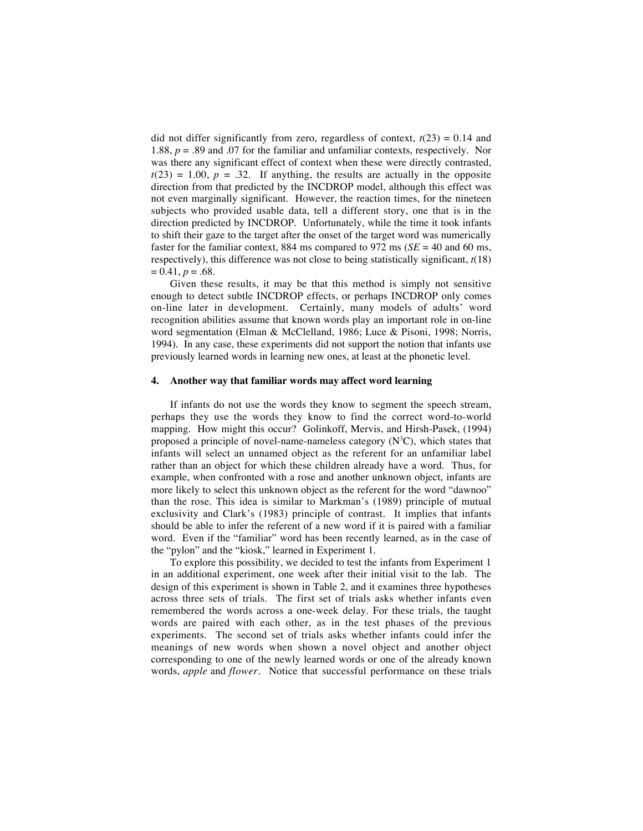did not differ significantly from zero, regardless of context,  $t(23) = 0.14$  and 1.88,  $p = 0.89$  and 0.07 for the familiar and unfamiliar contexts, respectively. Nor was there any significant effect of context when these were directly contrasted,  $t(23) = 1.00$ ,  $p = .32$ . If anything, the results are actually in the opposite direction from that predicted by the INCDROP model, although this effect was not even marginally significant. However, the reaction times, for the nineteen subjects who provided usable data, tell a different story, one that is in the direction predicted by INCDROP. Unfortunately, while the time it took infants to shift their gaze to the target after the onset of the target word was numerically faster for the familiar context, 884 ms compared to 972 ms ( $SE = 40$  and 60 ms, respectively), this difference was not close to being statistically significant, *t*(18)  $= 0.41, p = .68.$ 

Given these results, it may be that this method is simply not sensitive enough to detect subtle INCDROP effects, or perhaps INCDROP only comes on-line later in development. Certainly, many models of adults' word recognition abilities assume that known words play an important role in on-line word segmentation (Elman & McClelland, 1986; Luce & Pisoni, 1998; Norris, 1994). In any case, these experiments did not support the notion that infants use previously learned words in learning new ones, at least at the phonetic level.

#### **4. Another way that familiar words may affect word learning**

If infants do not use the words they know to segment the speech stream, perhaps they use the words they know to find the correct word-to-world mapping. How might this occur? Golinkoff, Mervis, and Hirsh-Pasek, (1994) proposed a principle of novel-name-nameless category  $(N^3C)$ , which states that infants will select an unnamed object as the referent for an unfamiliar label rather than an object for which these children already have a word. Thus, for example, when confronted with a rose and another unknown object, infants are more likely to select this unknown object as the referent for the word "dawnoo" than the rose. This idea is similar to Markman's (1989) principle of mutual exclusivity and Clark's (1983) principle of contrast. It implies that infants should be able to infer the referent of a new word if it is paired with a familiar word. Even if the "familiar" word has been recently learned, as in the case of the "pylon" and the "kiosk," learned in Experiment 1.

To explore this possibility, we decided to test the infants from Experiment 1 in an additional experiment, one week after their initial visit to the lab. The design of this experiment is shown in Table 2, and it examines three hypotheses across three sets of trials. The first set of trials asks whether infants even remembered the words across a one-week delay. For these trials, the taught words are paired with each other, as in the test phases of the previous experiments. The second set of trials asks whether infants could infer the meanings of new words when shown a novel object and another object corresponding to one of the newly learned words or one of the already known words, *apple* and *flower*. Notice that successful performance on these trials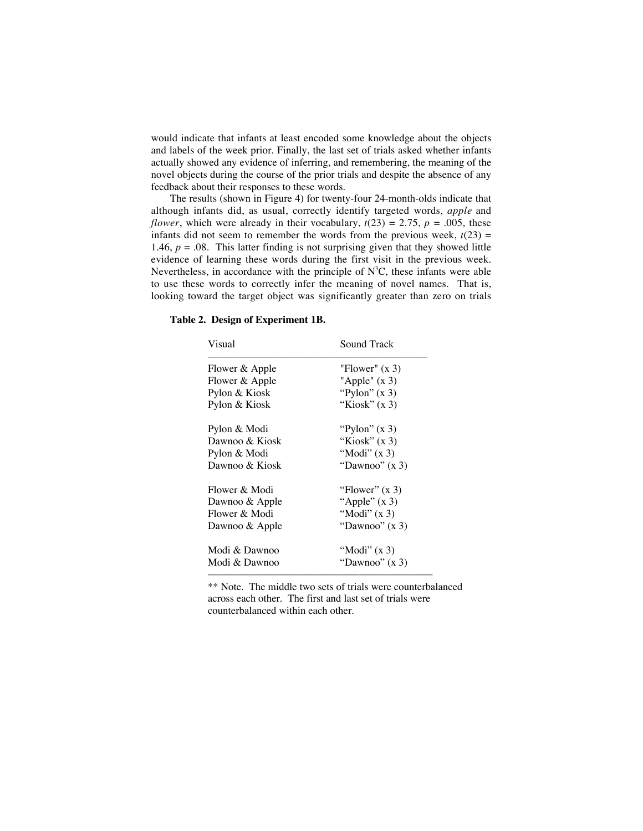would indicate that infants at least encoded some knowledge about the objects and labels of the week prior. Finally, the last set of trials asked whether infants actually showed any evidence of inferring, and remembering, the meaning of the novel objects during the course of the prior trials and despite the absence of any feedback about their responses to these words.

The results (shown in Figure 4) for twenty-four 24-month-olds indicate that although infants did, as usual, correctly identify targeted words, *apple* and *flower*, which were already in their vocabulary,  $t(23) = 2.75$ ,  $p = .005$ , these infants did not seem to remember the words from the previous week,  $t(23)$  = 1.46,  $p = 0.08$ . This latter finding is not surprising given that they showed little evidence of learning these words during the first visit in the previous week. Nevertheless, in accordance with the principle of  $N^3C$ , these infants were able to use these words to correctly infer the meaning of novel names. That is, looking toward the target object was significantly greater than zero on trials

| Visual         | Sound Track      |
|----------------|------------------|
| Flower & Apple | "Flower" $(x 3)$ |
| Flower & Apple | "Apple" $(x 3)$  |
| Pylon & Kiosk  | "Pylon" $(x 3)$  |
| Pylon & Kiosk  | "Kiosk" $(x 3)$  |
| Pylon & Modi   | "Pylon" $(x 3)$  |
| Dawnoo & Kiosk | "Kiosk" $(x 3)$  |
| Pylon & Modi   | "Modi" $(x 3)$   |
| Dawnoo & Kiosk | "Dawnoo" (x 3)   |
| Flower & Modi  | "Flower" $(x 3)$ |
| Dawnoo & Apple | "Apple" $(x 3)$  |
| Flower & Modi  | "Modi" $(x 3)$   |
| Dawnoo & Apple | "Dawnoo" (x 3)   |
| Modi & Dawnoo  | "Modi" $(x 3)$   |
| Modi & Dawnoo  | "Dawnoo" $(x 3)$ |
|                |                  |

#### **Table 2. Design of Experiment 1B.**

\*\* Note. The middle two sets of trials were counterbalanced across each other. The first and last set of trials were counterbalanced within each other.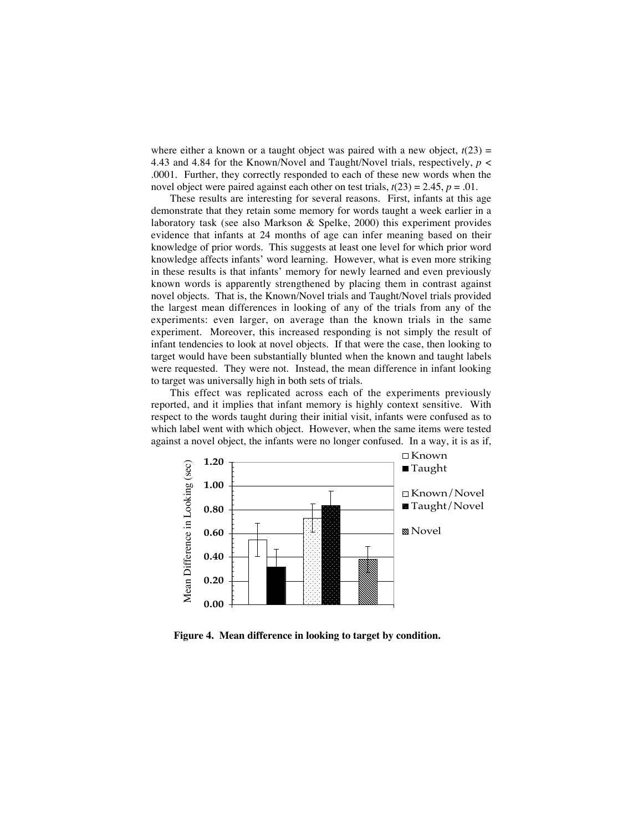where either a known or a taught object was paired with a new object,  $t(23)$  = 4.43 and 4.84 for the Known/Novel and Taught/Novel trials, respectively, *p* < .0001. Further, they correctly responded to each of these new words when the novel object were paired against each other on test trials,  $t(23) = 2.45$ ,  $p = .01$ .

These results are interesting for several reasons. First, infants at this age demonstrate that they retain some memory for words taught a week earlier in a laboratory task (see also Markson & Spelke, 2000) this experiment provides evidence that infants at 24 months of age can infer meaning based on their knowledge of prior words. This suggests at least one level for which prior word knowledge affects infants' word learning. However, what is even more striking in these results is that infants' memory for newly learned and even previously known words is apparently strengthened by placing them in contrast against novel objects. That is, the Known/Novel trials and Taught/Novel trials provided the largest mean differences in looking of any of the trials from any of the experiments: even larger, on average than the known trials in the same experiment. Moreover, this increased responding is not simply the result of infant tendencies to look at novel objects. If that were the case, then looking to target would have been substantially blunted when the known and taught labels were requested. They were not. Instead, the mean difference in infant looking to target was universally high in both sets of trials.

This effect was replicated across each of the experiments previously reported, and it implies that infant memory is highly context sensitive. With respect to the words taught during their initial visit, infants were confused as to which label went with which object. However, when the same items were tested against a novel object, the infants were no longer confused. In a way, it is as if,



**Figure 4. Mean difference in looking to target by condition.**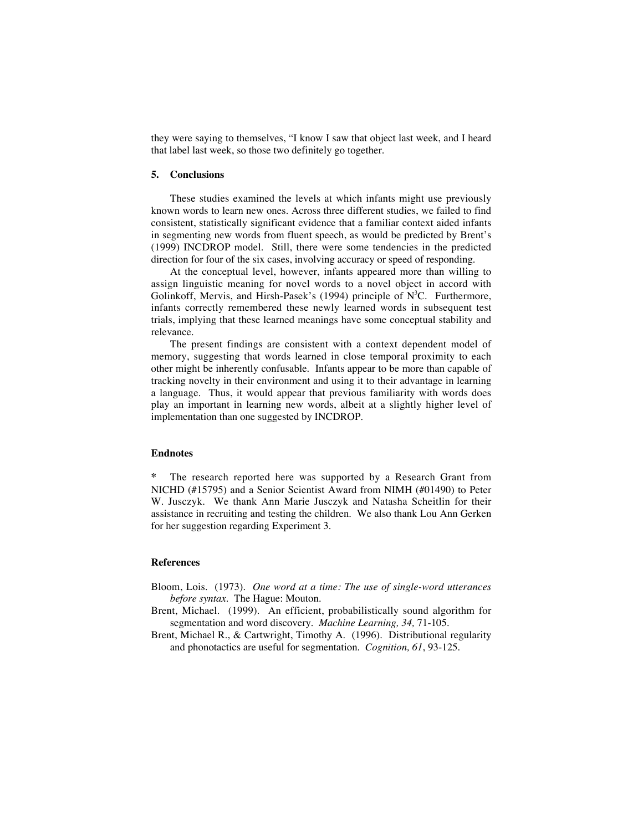they were saying to themselves, "I know I saw that object last week, and I heard that label last week, so those two definitely go together.

# **5. Conclusions**

These studies examined the levels at which infants might use previously known words to learn new ones. Across three different studies, we failed to find consistent, statistically significant evidence that a familiar context aided infants in segmenting new words from fluent speech, as would be predicted by Brent's (1999) INCDROP model. Still, there were some tendencies in the predicted direction for four of the six cases, involving accuracy or speed of responding.

At the conceptual level, however, infants appeared more than willing to assign linguistic meaning for novel words to a novel object in accord with Golinkoff, Mervis, and Hirsh-Pasek's (1994) principle of N<sup>3</sup>C. Furthermore, infants correctly remembered these newly learned words in subsequent test trials, implying that these learned meanings have some conceptual stability and relevance.

The present findings are consistent with a context dependent model of memory, suggesting that words learned in close temporal proximity to each other might be inherently confusable. Infants appear to be more than capable of tracking novelty in their environment and using it to their advantage in learning a language. Thus, it would appear that previous familiarity with words does play an important in learning new words, albeit at a slightly higher level of implementation than one suggested by INCDROP.

## **Endnotes**

**\*** The research reported here was supported by a Research Grant from NICHD (#15795) and a Senior Scientist Award from NIMH (#01490) to Peter W. Jusczyk. We thank Ann Marie Jusczyk and Natasha Scheitlin for their assistance in recruiting and testing the children. We also thank Lou Ann Gerken for her suggestion regarding Experiment 3.

#### **References**

- Bloom, Lois. (1973). *One word at a time: The use of single-word utterances before syntax.* The Hague: Mouton.
- Brent, Michael. (1999). An efficient, probabilistically sound algorithm for segmentation and word discovery. *Machine Learning, 34,* 71-105.
- Brent, Michael R., & Cartwright, Timothy A. (1996). Distributional regularity and phonotactics are useful for segmentation. *Cognition, 61*, 93-125.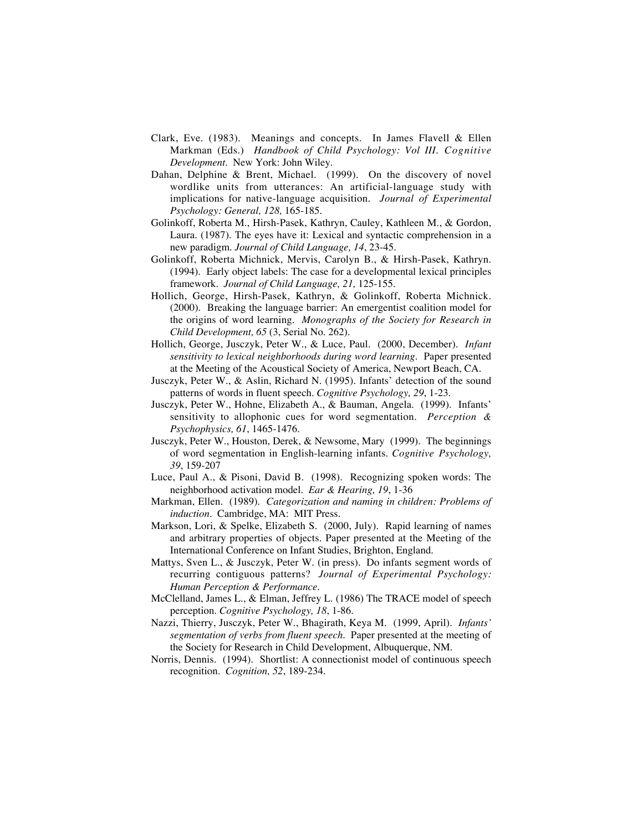- Clark, Eve. (1983). Meanings and concepts. In James Flavell & Ellen Markman (Eds.) *Handbook of Child Psychology: Vol III. Cognitive Development.* New York: John Wiley.
- Dahan, Delphine & Brent, Michael. (1999). On the discovery of novel wordlike units from utterances: An artificial-language study with implications for native-language acquisition. *Journal of Experimental Psychology: General, 128,* 165-185.
- Golinkoff, Roberta M., Hirsh-Pasek, Kathryn, Cauley, Kathleen M., & Gordon, Laura. (1987). The eyes have it: Lexical and syntactic comprehension in a new paradigm*. Journal of Child Language, 14*, 23-45.
- Golinkoff, Roberta Michnick, Mervis, Carolyn B., & Hirsh-Pasek, Kathryn. (1994). Early object labels: The case for a developmental lexical principles framework. *Journal of Child Language, 21,* 125-155.
- Hollich, George, Hirsh-Pasek, Kathryn, & Golinkoff, Roberta Michnick. (2000). Breaking the language barrier: An emergentist coalition model for the origins of word learning. *Monographs of the Society for Research in Child Development, 65* (3, Serial No. 262).
- Hollich, George, Jusczyk, Peter W., & Luce, Paul. (2000, December). *Infant sensitivity to lexical neighborhoods during word learning.* Paper presented at the Meeting of the Acoustical Society of America, Newport Beach, CA.
- Jusczyk, Peter W., & Aslin, Richard N. (1995). Infants' detection of the sound patterns of words in fluent speech. *Cognitive Psychology, 29*, 1-23.
- Jusczyk, Peter W., Hohne, Elizabeth A., & Bauman, Angela. (1999). Infants' sensitivity to allophonic cues for word segmentation. *Perception & Psychophysics, 61*, 1465-1476.
- Jusczyk, Peter W., Houston, Derek, & Newsome, Mary (1999). The beginnings of word segmentation in English-learning infants. *Cognitive Psychology, 39*, 159-207
- Luce, Paul A., & Pisoni, David B. (1998). Recognizing spoken words: The neighborhood activation model. *Ear & Hearing, 19*, 1-36
- Markman, Ellen. (1989). *Categorization and naming in children: Problems of induction.* Cambridge, MA: MIT Press.
- Markson, Lori, & Spelke, Elizabeth S. (2000, July). Rapid learning of names and arbitrary properties of objects. Paper presented at the Meeting of the International Conference on Infant Studies, Brighton, England.
- Mattys, Sven L., & Jusczyk, Peter W. (in press).! Do infants segment words of recurring contiguous patterns?! *Journal of Experimental Psychology: Human Perception & Performance.*
- McClelland, James L., & Elman, Jeffrey L. (1986) The TRACE model of speech perception. *Cognitive Psychology, 18*, 1-86.
- Nazzi, Thierry, Jusczyk, Peter W., Bhagirath, Keya M. (1999, April). *Infants' segmentation of verbs from fluent speech*. Paper presented at the meeting of the Society for Research in Child Development, Albuquerque, NM.
- Norris, Dennis. (1994). Shortlist: A connectionist model of continuous speech recognition. *Cognition, 52*, 189-234.